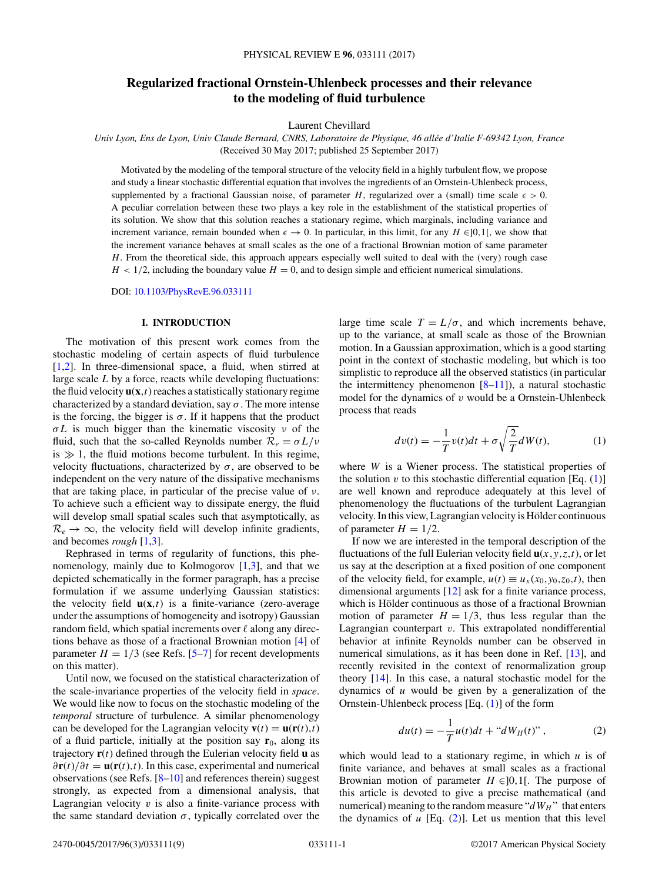# <span id="page-0-0"></span>**Regularized fractional Ornstein-Uhlenbeck processes and their relevance to the modeling of fluid turbulence**

Laurent Chevillard

*Univ Lyon, Ens de Lyon, Univ Claude Bernard, CNRS, Laboratoire de Physique, 46 allée d'Italie F-69342 Lyon, France* (Received 30 May 2017; published 25 September 2017)

Motivated by the modeling of the temporal structure of the velocity field in a highly turbulent flow, we propose and study a linear stochastic differential equation that involves the ingredients of an Ornstein-Uhlenbeck process, supplemented by a fractional Gaussian noise, of parameter *H*, regularized over a (small) time scale  $\epsilon > 0$ . A peculiar correlation between these two plays a key role in the establishment of the statistical properties of its solution. We show that this solution reaches a stationary regime, which marginals, including variance and increment variance, remain bounded when  $\epsilon \to 0$ . In particular, in this limit, for any *H* ∈]0,1[, we show that the increment variance behaves at small scales as the one of a fractional Brownian motion of same parameter *H*. From the theoretical side, this approach appears especially well suited to deal with the (very) rough case  $H$  < 1/2, including the boundary value  $H = 0$ , and to design simple and efficient numerical simulations.

DOI: [10.1103/PhysRevE.96.033111](https://doi.org/10.1103/PhysRevE.96.033111)

### **I. INTRODUCTION**

The motivation of this present work comes from the stochastic modeling of certain aspects of fluid turbulence [\[1,2\]](#page-8-0). In three-dimensional space, a fluid, when stirred at large scale *L* by a force, reacts while developing fluctuations: the fluid velocity  $\mathbf{u}(\mathbf{x},t)$  reaches a statistically stationary regime characterized by a standard deviation, say  $\sigma$ . The more intense is the forcing, the bigger is  $\sigma$ . If it happens that the product *σL* is much bigger than the kinematic viscosity *ν* of the fluid, such that the so-called Reynolds number  $\mathcal{R}_e = \sigma L/v$ is  $\gg 1$ , the fluid motions become turbulent. In this regime, velocity fluctuations, characterized by  $\sigma$ , are observed to be independent on the very nature of the dissipative mechanisms that are taking place, in particular of the precise value of *ν*. To achieve such a efficient way to dissipate energy, the fluid will develop small spatial scales such that asymptotically, as  $\mathcal{R}_e \rightarrow \infty$ , the velocity field will develop infinite gradients, and becomes *rough* [\[1,3\]](#page-8-0).

Rephrased in terms of regularity of functions, this phenomenology, mainly due to Kolmogorov  $[1,3]$ , and that we depicted schematically in the former paragraph, has a precise formulation if we assume underlying Gaussian statistics: the velocity field  $\mathbf{u}(\mathbf{x},t)$  is a finite-variance (zero-average under the assumptions of homogeneity and isotropy) Gaussian random field, which spatial increments over  $\ell$  along any directions behave as those of a fractional Brownian motion [\[4\]](#page-8-0) of parameter  $H = 1/3$  (see Refs. [\[5–7\]](#page-8-0) for recent developments on this matter).

Until now, we focused on the statistical characterization of the scale-invariance properties of the velocity field in *space*. We would like now to focus on the stochastic modeling of the *temporal* structure of turbulence. A similar phenomenology can be developed for the Lagrangian velocity  $\mathbf{v}(t) = \mathbf{u}(\mathbf{r}(t), t)$ of a fluid particle, initially at the position say  $\mathbf{r}_0$ , along its trajectory  $\mathbf{r}(t)$  defined through the Eulerian velocity field  $\mathbf{u}$  as *∂***r**(*t*)*/∂t* = **u**(**r**(*t*)*,t*). In this case, experimental and numerical observations (see Refs. [\[8–10\]](#page-8-0) and references therein) suggest strongly, as expected from a dimensional analysis, that Lagrangian velocity  $v$  is also a finite-variance process with the same standard deviation  $\sigma$ , typically correlated over the

large time scale  $T = L/\sigma$ , and which increments behave, up to the variance, at small scale as those of the Brownian motion. In a Gaussian approximation, which is a good starting point in the context of stochastic modeling, but which is too simplistic to reproduce all the observed statistics (in particular the intermittency phenomenon  $[8-11]$ ), a natural stochastic model for the dynamics of *v* would be a Ornstein-Uhlenbeck process that reads

$$
dv(t) = -\frac{1}{T}v(t)dt + \sigma\sqrt{\frac{2}{T}}dW(t),
$$
\n(1)

where *W* is a Wiener process. The statistical properties of the solution  $v$  to this stochastic differential equation [Eq.  $(1)$ ] are well known and reproduce adequately at this level of phenomenology the fluctuations of the turbulent Lagrangian velocity. In this view, Lagrangian velocity is Hölder continuous of parameter  $H = 1/2$ .

If now we are interested in the temporal description of the fluctuations of the full Eulerian velocity field  $\mathbf{u}(x, y, z, t)$ , or let us say at the description at a fixed position of one component of the velocity field, for example,  $u(t) \equiv u_x(x_0, y_0, z_0, t)$ , then dimensional arguments [\[12\]](#page-8-0) ask for a finite variance process, which is Hölder continuous as those of a fractional Brownian motion of parameter  $H = 1/3$ , thus less regular than the Lagrangian counterpart *v*. This extrapolated nondifferential behavior at infinite Reynolds number can be observed in numerical simulations, as it has been done in Ref. [\[13\]](#page-8-0), and recently revisited in the context of renormalization group theory [\[14\]](#page-8-0). In this case, a natural stochastic model for the dynamics of *u* would be given by a generalization of the Ornstein-Uhlenbeck process [Eq. (1)] of the form

$$
du(t) = -\frac{1}{T}u(t)dt + "dWH(t)" , \qquad (2)
$$

which would lead to a stationary regime, in which *u* is of finite variance, and behaves at small scales as a fractional Brownian motion of parameter  $H \in ]0,1[$ . The purpose of this article is devoted to give a precise mathematical (and numerical) meaning to the random measure " $dW_H$ " that enters the dynamics of  $u$  [Eq.  $(2)$ ]. Let us mention that this level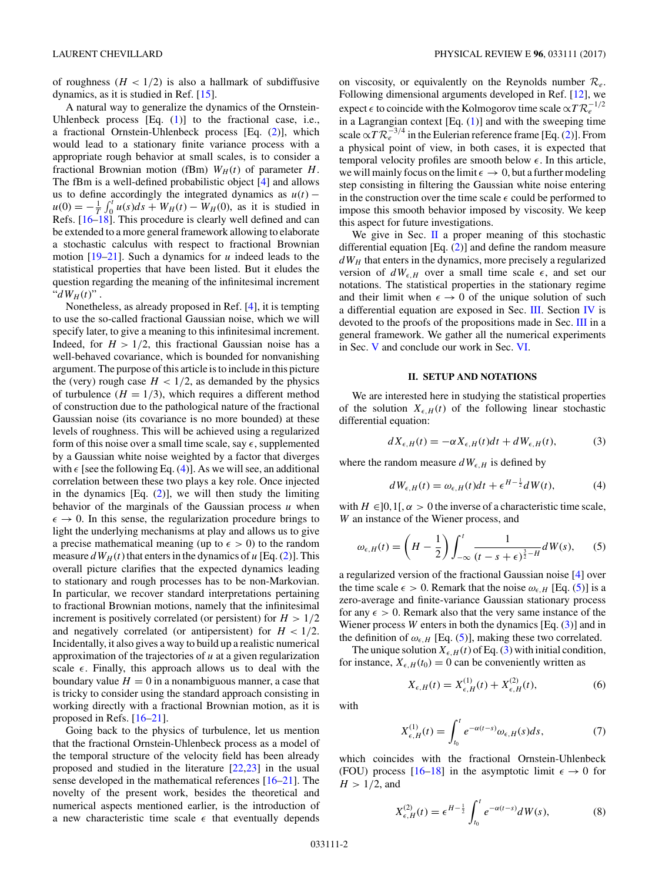<span id="page-1-0"></span>of roughness  $(H < 1/2)$  is also a hallmark of subdiffusive dynamics, as it is studied in Ref. [\[15\]](#page-8-0).

A natural way to generalize the dynamics of the Ornstein-Uhlenbeck process  $[Eq. (1)]$  $[Eq. (1)]$  $[Eq. (1)]$  to the fractional case, i.e., a fractional Ornstein-Uhlenbeck process [Eq. [\(2\)](#page-0-0)], which would lead to a stationary finite variance process with a appropriate rough behavior at small scales, is to consider a fractional Brownian motion (fBm)  $W_H(t)$  of parameter *H*. The fBm is a well-defined probabilistic object [\[4\]](#page-8-0) and allows us to define accordingly the integrated dynamics as  $u(t)$  –  $u(0) = -\frac{1}{T} \int_0^t u(s) ds + W_H(t) - W_H(0)$ , as it is studied in Refs. [\[16–18\]](#page-8-0). This procedure is clearly well defined and can be extended to a more general framework allowing to elaborate a stochastic calculus with respect to fractional Brownian motion [\[19–21\]](#page-8-0). Such a dynamics for *u* indeed leads to the statistical properties that have been listed. But it eludes the question regarding the meaning of the infinitesimal increment " $dW_H(t)$ ".

Nonetheless, as already proposed in Ref. [\[4\]](#page-8-0), it is tempting to use the so-called fractional Gaussian noise, which we will specify later, to give a meaning to this infinitesimal increment. Indeed, for  $H > 1/2$ , this fractional Gaussian noise has a well-behaved covariance, which is bounded for nonvanishing argument. The purpose of this article is to include in this picture the (very) rough case  $H < 1/2$ , as demanded by the physics of turbulence  $(H = 1/3)$ , which requires a different method of construction due to the pathological nature of the fractional Gaussian noise (its covariance is no more bounded) at these levels of roughness. This will be achieved using a regularized form of this noise over a small time scale, say  $\epsilon$ , supplemented by a Gaussian white noise weighted by a factor that diverges with  $\epsilon$  [see the following Eq. (4)]. As we will see, an additional correlation between these two plays a key role. Once injected in the dynamics [Eq. [\(2\)](#page-0-0)], we will then study the limiting behavior of the marginals of the Gaussian process *u* when  $\epsilon \to 0$ . In this sense, the regularization procedure brings to light the underlying mechanisms at play and allows us to give a precise mathematical meaning (up to  $\epsilon > 0$ ) to the random measure  $dW_H(t)$  that enters in the dynamics of  $u$  [Eq. [\(2\)](#page-0-0)]. This overall picture clarifies that the expected dynamics leading to stationary and rough processes has to be non-Markovian. In particular, we recover standard interpretations pertaining to fractional Brownian motions, namely that the infinitesimal increment is positively correlated (or persistent) for *H >* 1*/*2 and negatively correlated (or antipersistent) for  $H < 1/2$ . Incidentally, it also gives a way to build up a realistic numerical approximation of the trajectories of *u* at a given regularization scale  $\epsilon$ . Finally, this approach allows us to deal with the boundary value  $H = 0$  in a nonambiguous manner, a case that is tricky to consider using the standard approach consisting in working directly with a fractional Brownian motion, as it is proposed in Refs. [\[16–21\]](#page-8-0).

Going back to the physics of turbulence, let us mention that the fractional Ornstein-Uhlenbeck process as a model of the temporal structure of the velocity field has been already proposed and studied in the literature [\[22,23\]](#page-8-0) in the usual sense developed in the mathematical references [\[16–21\]](#page-8-0). The novelty of the present work, besides the theoretical and numerical aspects mentioned earlier, is the introduction of a new characteristic time scale  $\epsilon$  that eventually depends

on viscosity, or equivalently on the Reynolds number R*e*. Following dimensional arguments developed in Ref. [\[12\]](#page-8-0), we expect  $\epsilon$  to coincide with the Kolmogorov time scale  $\propto T R_e^{-1/2}$ in a Lagrangian context  $[Eq. (1)]$  $[Eq. (1)]$  $[Eq. (1)]$  and with the sweeping time scale  $\propto T R_e^{-3/4}$  in the Eulerian reference frame [Eq. [\(2\)](#page-0-0)]. From a physical point of view, in both cases, it is expected that temporal velocity profiles are smooth below  $\epsilon$ . In this article, we will mainly focus on the limit  $\epsilon \to 0$ , but a further modeling step consisting in filtering the Gaussian white noise entering in the construction over the time scale  $\epsilon$  could be performed to impose this smooth behavior imposed by viscosity. We keep this aspect for future investigations.

We give in Sec. II a proper meaning of this stochastic differential equation [Eq. [\(2\)](#page-0-0)] and define the random measure  $dW_H$  that enters in the dynamics, more precisely a regularized version of  $dW_{\epsilon,H}$  over a small time scale  $\epsilon$ , and set our notations. The statistical properties in the stationary regime and their limit when  $\epsilon \to 0$  of the unique solution of such a differential equation are exposed in Sec. [III.](#page-2-0) Section [IV](#page-3-0) is devoted to the proofs of the propositions made in Sec. [III](#page-2-0) in a general framework. We gather all the numerical experiments in Sec. [V](#page-5-0) and conclude our work in Sec. [VI.](#page-7-0)

### **II. SETUP AND NOTATIONS**

We are interested here in studying the statistical properties of the solution  $X_{\epsilon,H}(t)$  of the following linear stochastic differential equation:

$$
dX_{\epsilon,H}(t) = -\alpha X_{\epsilon,H}(t)dt + dW_{\epsilon,H}(t),
$$
\n(3)

where the random measure  $dW_{\epsilon,H}$  is defined by

$$
dW_{\epsilon,H}(t) = \omega_{\epsilon,H}(t)dt + \epsilon^{H-\frac{1}{2}}dW(t), \tag{4}
$$

with  $H \in ]0,1[$ ,  $\alpha > 0$  the inverse of a characteristic time scale, *W* an instance of the Wiener process, and

$$
\omega_{\epsilon,H}(t) = \left(H - \frac{1}{2}\right) \int_{-\infty}^{t} \frac{1}{(t - s + \epsilon)^{\frac{3}{2} - H}} dW(s), \qquad (5)
$$

a regularized version of the fractional Gaussian noise [\[4\]](#page-8-0) over the time scale  $\epsilon > 0$ . Remark that the noise  $\omega_{\epsilon, H}$  [Eq. (5)] is a zero-average and finite-variance Gaussian stationary process for any  $\epsilon > 0$ . Remark also that the very same instance of the Wiener process *W* enters in both the dynamics [Eq. (3)] and in the definition of  $\omega_{\epsilon,H}$  [Eq. (5)], making these two correlated.

The unique solution  $X_{\epsilon,H}(t)$  of Eq. (3) with initial condition, for instance,  $X_{\epsilon,H}(t_0) = 0$  can be conveniently written as

$$
X_{\epsilon,H}(t) = X_{\epsilon,H}^{(1)}(t) + X_{\epsilon,H}^{(2)}(t),
$$
\n(6)

with

$$
X_{\epsilon,H}^{(1)}(t) = \int_{t_0}^t e^{-\alpha(t-s)} \omega_{\epsilon,H}(s) ds, \tag{7}
$$

which coincides with the fractional Ornstein-Uhlenbeck (FOU) process [\[16–18\]](#page-8-0) in the asymptotic limit  $\epsilon \to 0$  for  $H > 1/2$ , and

$$
X_{\epsilon,H}^{(2)}(t) = \epsilon^{H-\frac{1}{2}} \int_{t_0}^t e^{-\alpha(t-s)} dW(s), \tag{8}
$$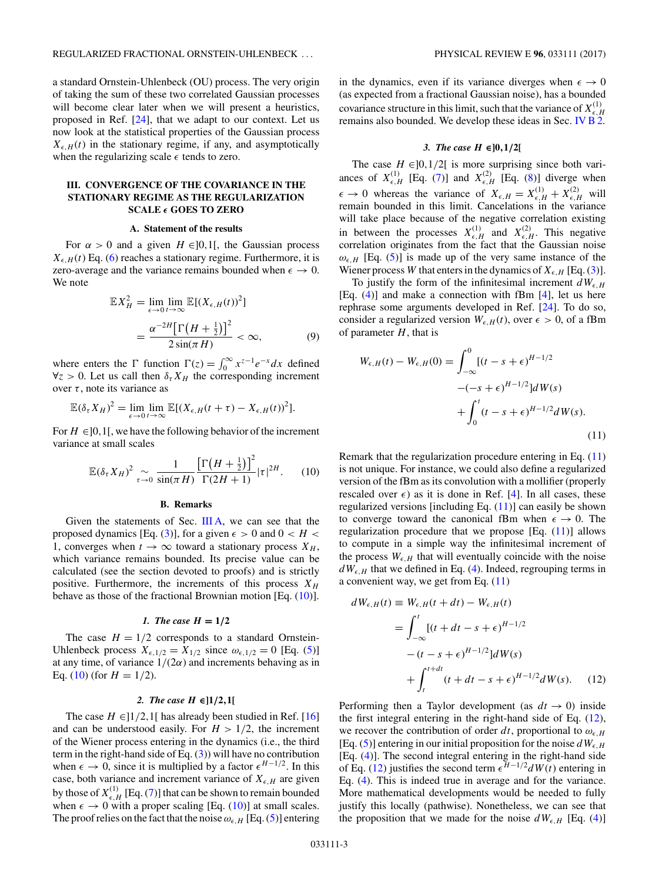<span id="page-2-0"></span>a standard Ornstein-Uhlenbeck (OU) process. The very origin of taking the sum of these two correlated Gaussian processes will become clear later when we will present a heuristics, proposed in Ref. [\[24\]](#page-8-0), that we adapt to our context. Let us now look at the statistical properties of the Gaussian process  $X_{\epsilon,H}(t)$  in the stationary regime, if any, and asymptotically when the regularizing scale  $\epsilon$  tends to zero.

# **III. CONVERGENCE OF THE COVARIANCE IN THE STATIONARY REGIME AS THE REGULARIZATION SCALE** *-* **GOES TO ZERO**

### **A. Statement of the results**

For  $\alpha > 0$  and a given  $H \in ]0,1[$ , the Gaussian process  $X_{\epsilon,H}(t)$  Eq. [\(6\)](#page-1-0) reaches a stationary regime. Furthermore, it is zero-average and the variance remains bounded when  $\epsilon \to 0$ . We note

$$
\mathbb{E}X_H^2 = \lim_{\epsilon \to 0} \lim_{t \to \infty} \mathbb{E}[(X_{\epsilon, H}(t))^2]
$$

$$
= \frac{\alpha^{-2H} \left[\Gamma\left(H + \frac{1}{2}\right)\right]^2}{2\sin(\pi H)} < \infty,
$$
(9)

where enters the  $\Gamma$  function  $\Gamma(z) = \int_0^\infty x^{z-1} e^{-x} dx$  defined  $\forall z > 0$ . Let us call then  $\delta_{\tau} X_H$  the corresponding increment over  $\tau$ , note its variance as

$$
\mathbb{E}(\delta_{\tau}X_H)^2 = \lim_{\epsilon \to 0} \lim_{t \to \infty} \mathbb{E}[(X_{\epsilon,H}(t+\tau) - X_{\epsilon,H}(t))^2].
$$

For  $H \in ]0,1[$ , we have the following behavior of the increment variance at small scales

$$
\mathbb{E}(\delta_{\tau}X_H)^2 \underset{\tau \to 0}{\sim} \frac{1}{\sin(\pi H)} \frac{\left[\Gamma\left(H + \frac{1}{2}\right)\right]^2}{\Gamma(2H + 1)} |\tau|^{2H}.
$$
 (10)

### **B. Remarks**

Given the statements of Sec. III A, we can see that the proposed dynamics [Eq. [\(3\)](#page-1-0)], for a given  $\epsilon > 0$  and  $0 < H <$ 1, converges when  $t \to \infty$  toward a stationary process  $X_H$ , which variance remains bounded. Its precise value can be calculated (see the section devoted to proofs) and is strictly positive. Furthermore, the increments of this process  $X_H$ behave as those of the fractional Brownian motion [Eq. (10)].

### *1. The case*  $H = 1/2$

The case  $H = 1/2$  corresponds to a standard Ornstein-Uhlenbeck process  $X_{\epsilon,1/2} = X_{1/2}$  since  $\omega_{\epsilon,1/2} = 0$  [Eq. [\(5\)](#page-1-0)] at any time, of variance  $1/(2\alpha)$  and increments behaving as in Eq. (10) (for  $H = 1/2$ ).

### *2. The case H* **∈]1***/***2***,***1[**

The case  $H \in ]1/2,1[$  has already been studied in Ref. [\[16\]](#page-8-0) and can be understood easily. For  $H > 1/2$ , the increment of the Wiener process entering in the dynamics (i.e., the third term in the right-hand side of Eq.  $(3)$ ) will have no contribution when  $\epsilon \to 0$ , since it is multiplied by a factor  $\epsilon^{H-1/2}$ . In this case, both variance and increment variance of  $X_{\epsilon,H}$  are given by those of  $X_{\epsilon,H}^{(1)}$  [Eq. [\(7\)](#page-1-0)] that can be shown to remain bounded when  $\epsilon \to 0$  with a proper scaling [Eq. (10)] at small scales. The proof relies on the fact that the noise  $\omega_{\epsilon,H}$  [Eq. [\(5\)](#page-1-0)] entering

in the dynamics, even if its variance diverges when  $\epsilon \to 0$ (as expected from a fractional Gaussian noise), has a bounded covariance structure in this limit, such that the variance of  $X_{\epsilon,H}^{(1)}$ remains also bounded. We develop these ideas in Sec. IV  $\overline{B}^{0,n}_{2,n}$ 

# *3. The case H* **∈]0***,***1***/***2[**

The case  $H \in ]0,1/2[$  is more surprising since both variances of  $X_{\epsilon,H}^{(1)}$  [Eq. [\(7\)](#page-1-0)] and  $X_{\epsilon,H}^{(2)}$  [Eq. [\(8\)](#page-1-0)] diverge when  $\epsilon \to 0$  whereas the variance of  $X_{\epsilon,H} = X_{\epsilon,H}^{(1)} + X_{\epsilon,H}^{(2)}$  will remain bounded in this limit. Cancelations in the variance will take place because of the negative correlation existing in between the processes  $X_{\epsilon,H}^{(1)}$  and  $X_{\epsilon,H}^{(2)}$ . This negative correlation originates from the fact that the Gaussian noise  $\omega_{\epsilon,H}$  [Eq. [\(5\)](#page-1-0)] is made up of the very same instance of the Wiener process *W* that enters in the dynamics of  $X_{\epsilon,H}$  [Eq. [\(3\)](#page-1-0)].

To justify the form of the infinitesimal increment  $dW_{\epsilon,H}$ [Eq. [\(4\)](#page-1-0)] and make a connection with fBm [\[4\]](#page-8-0), let us here rephrase some arguments developed in Ref. [\[24\]](#page-8-0). To do so, consider a regularized version  $W_{\epsilon,H}(t)$ , over  $\epsilon > 0$ , of a fBm of parameter *H*, that is

$$
W_{\epsilon,H}(t) - W_{\epsilon,H}(0) = \int_{-\infty}^{0} [(t - s + \epsilon)^{H-1/2} + (-s + \epsilon)^{H-1/2}]dW(s) + \int_{0}^{t} (t - s + \epsilon)^{H-1/2}dW(s).
$$
\n(11)

Remark that the regularization procedure entering in Eq. (11) is not unique. For instance, we could also define a regularized version of the fBm as its convolution with a mollifier (properly rescaled over  $\epsilon$ ) as it is done in Ref. [\[4\]](#page-8-0). In all cases, these regularized versions [including Eq.  $(11)$ ] can easily be shown to converge toward the canonical fBm when  $\epsilon \to 0$ . The regularization procedure that we propose  $[Eq. (11)]$  allows to compute in a simple way the infinitesimal increment of the process  $W_{\epsilon,H}$  that will eventually coincide with the noise  $dW_{\epsilon, H}$  that we defined in Eq. [\(4\)](#page-1-0). Indeed, regrouping terms in a convenient way, we get from Eq. (11)

$$
dW_{\epsilon,H}(t) \equiv W_{\epsilon,H}(t + dt) - W_{\epsilon,H}(t)
$$
  
= 
$$
\int_{-\infty}^{t} [(t + dt - s + \epsilon)^{H-1/2} - (t - s + \epsilon)^{H-1/2}]dW(s)
$$
  
+ 
$$
\int_{t}^{t+dt} (t + dt - s + \epsilon)^{H-1/2}dW(s).
$$
 (12)

Performing then a Taylor development (as  $dt \rightarrow 0$ ) inside the first integral entering in the right-hand side of Eq. (12), we recover the contribution of order  $dt$ , proportional to  $\omega_{\epsilon,H}$ [Eq. [\(5\)](#page-1-0)] entering in our initial proposition for the noise  $dW_{\epsilon,H}$ [Eq. [\(4\)](#page-1-0)]. The second integral entering in the right-hand side of Eq. (12) justifies the second term  $\epsilon^{H-1/2} dW(t)$  entering in Eq. [\(4\)](#page-1-0). This is indeed true in average and for the variance. More mathematical developments would be needed to fully justify this locally (pathwise). Nonetheless, we can see that the proposition that we made for the noise  $dW_{\epsilon,H}$  [Eq. [\(4\)](#page-1-0)]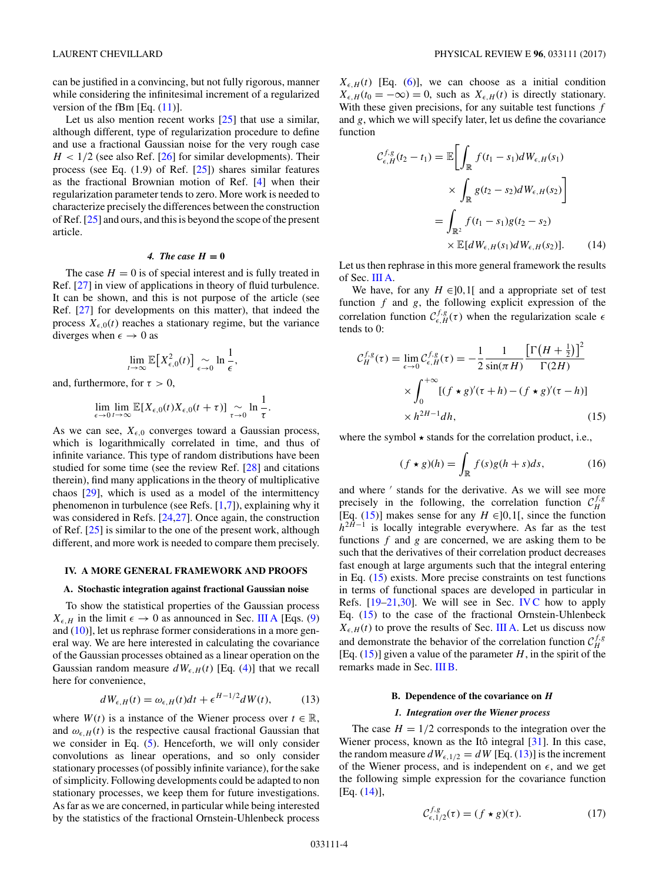<span id="page-3-0"></span>can be justified in a convincing, but not fully rigorous, manner while considering the infinitesimal increment of a regularized version of the fBm [Eq.  $(11)$ ].

Let us also mention recent works [\[25\]](#page-8-0) that use a similar, although different, type of regularization procedure to define and use a fractional Gaussian noise for the very rough case  $H < 1/2$  (see also Ref. [\[26\]](#page-8-0) for similar developments). Their process (see Eq.  $(1.9)$  of Ref.  $[25]$ ) shares similar features as the fractional Brownian motion of Ref. [\[4\]](#page-8-0) when their regularization parameter tends to zero. More work is needed to characterize precisely the differences between the construction of Ref. [\[25\]](#page-8-0) and ours, and this is beyond the scope of the present article.

## *4. The case*  $H = 0$

The case  $H = 0$  is of special interest and is fully treated in Ref. [\[27\]](#page-8-0) in view of applications in theory of fluid turbulence. It can be shown, and this is not purpose of the article (see Ref. [\[27\]](#page-8-0) for developments on this matter), that indeed the process  $X_{\epsilon,0}(t)$  reaches a stationary regime, but the variance diverges when  $\epsilon \to 0$  as

$$
\lim_{t\to\infty}\mathbb{E}\big[X_{\epsilon,0}^2(t)\big]\Big|_{\epsilon\to 0}\ln\frac{1}{\epsilon},
$$

and, furthermore, for  $\tau > 0$ ,

$$
\lim_{\epsilon \to 0} \lim_{t \to \infty} \mathbb{E}[X_{\epsilon,0}(t)X_{\epsilon,0}(t+\tau)] \underset{\tau \to 0}{\sim} \ln \frac{1}{\tau}.
$$

As we can see,  $X_{\epsilon,0}$  converges toward a Gaussian process, which is logarithmically correlated in time, and thus of infinite variance. This type of random distributions have been studied for some time (see the review Ref. [\[28\]](#page-8-0) and citations therein), find many applications in the theory of multiplicative chaos [\[29\]](#page-8-0), which is used as a model of the intermittency phenomenon in turbulence (see Refs. [\[1,7\]](#page-8-0)), explaining why it was considered in Refs. [\[24,27\]](#page-8-0). Once again, the construction of Ref. [\[25\]](#page-8-0) is similar to the one of the present work, although different, and more work is needed to compare them precisely.

### **IV. A MORE GENERAL FRAMEWORK AND PROOFS**

### **A. Stochastic integration against fractional Gaussian noise**

To show the statistical properties of the Gaussian process  $X_{\epsilon,H}$  in the limit  $\epsilon \to 0$  as announced in Sec. [III A](#page-2-0) [Eqs. [\(9\)](#page-2-0) and  $(10)$ ], let us rephrase former considerations in a more general way. We are here interested in calculating the covariance of the Gaussian processes obtained as a linear operation on the Gaussian random measure  $dW_{\epsilon,H}(t)$  [Eq. [\(4\)](#page-1-0)] that we recall here for convenience,

$$
dW_{\epsilon,H}(t) = \omega_{\epsilon,H}(t)dt + \epsilon^{H-1/2}dW(t),\tag{13}
$$

where  $W(t)$  is a instance of the Wiener process over  $t \in \mathbb{R}$ , and  $\omega_{\epsilon,H}(t)$  is the respective causal fractional Gaussian that we consider in Eq. [\(5\)](#page-1-0). Henceforth, we will only consider convolutions as linear operations, and so only consider stationary processes (of possibly infinite variance), for the sake of simplicity. Following developments could be adapted to non stationary processes, we keep them for future investigations. As far as we are concerned, in particular while being interested by the statistics of the fractional Ornstein-Uhlenbeck process

 $X_{\epsilon,H}(t)$  [Eq. [\(6\)](#page-1-0)], we can choose as a initial condition  $X_{\epsilon,H}(t_0 = -\infty) = 0$ , such as  $X_{\epsilon,H}(t)$  is directly stationary. With these given precisions, for any suitable test functions *f* and *g*, which we will specify later, let us define the covariance function

$$
\mathcal{C}_{\epsilon,H}^{f,g}(t_2 - t_1) = \mathbb{E} \bigg[ \int_{\mathbb{R}} f(t_1 - s_1) dW_{\epsilon,H}(s_1) \times \int_{\mathbb{R}} g(t_2 - s_2) dW_{\epsilon,H}(s_2) \bigg]
$$
  
= 
$$
\int_{\mathbb{R}^2} f(t_1 - s_1) g(t_2 - s_2) \times \mathbb{E} [dW_{\epsilon,H}(s_1) dW_{\epsilon,H}(s_2)].
$$
 (14)

Let us then rephrase in this more general framework the results of Sec. [III A.](#page-2-0)

We have, for any  $H \in ]0,1[$  and a appropriate set of test function *f* and *g*, the following explicit expression of the correlation function  $C_{\epsilon,H}^{f,g}(\tau)$  when the regularization scale  $\epsilon$ tends to 0:

$$
\mathcal{C}_{H}^{f,g}(\tau) = \lim_{\epsilon \to 0} \mathcal{C}_{\epsilon,H}^{f,g}(\tau) = -\frac{1}{2} \frac{1}{\sin(\pi H)} \frac{\left[\Gamma\left(H + \frac{1}{2}\right)\right]^{2}}{\Gamma(2H)}
$$

$$
\times \int_{0}^{+\infty} \left[(f \star g)'(\tau + h) - (f \star g)'(\tau - h)\right]
$$

$$
\times h^{2H-1}dh,
$$
(15)

where the symbol  $\star$  stands for the correlation product, i.e.,

$$
(f \star g)(h) = \int_{\mathbb{R}} f(s)g(h+s)ds,\tag{16}
$$

and where ' stands for the derivative. As we will see more precisely in the following, the correlation function  $C_H^{f,g}$ [Eq. (15)] makes sense for any  $H \in ]0,1[$ , since the function  $h^{2H-1}$  is locally integrable everywhere. As far as the test functions *f* and *g* are concerned, we are asking them to be such that the derivatives of their correlation product decreases fast enough at large arguments such that the integral entering in Eq. (15) exists. More precise constraints on test functions in terms of functional spaces are developed in particular in Refs.  $[19-21,30]$ . We will see in Sec. [IV C](#page-5-0) how to apply Eq. (15) to the case of the fractional Ornstein-Uhlenbeck  $X_{\epsilon,H}(t)$  to prove the results of Sec. [III A.](#page-2-0) Let us discuss now and demonstrate the behavior of the correlation function  $C_H^{f,g}$ [Eq.  $(15)$ ] given a value of the parameter *H*, in the spirit of the remarks made in Sec. [III B.](#page-2-0)

# **B. Dependence of the covariance on** *H*

## *1. Integration over the Wiener process*

The case  $H = 1/2$  corresponds to the integration over the Wiener process, known as the Itô integral [\[31\]](#page-8-0). In this case, the random measure  $dW_{\epsilon,1/2} = dW$  [Eq. (13)] is the increment of the Wiener process, and is independent on  $\epsilon$ , and we get the following simple expression for the covariance function [Eq. (14)],

$$
\mathcal{C}_{\epsilon,1/2}^{f,g}(\tau) = (f \star g)(\tau). \tag{17}
$$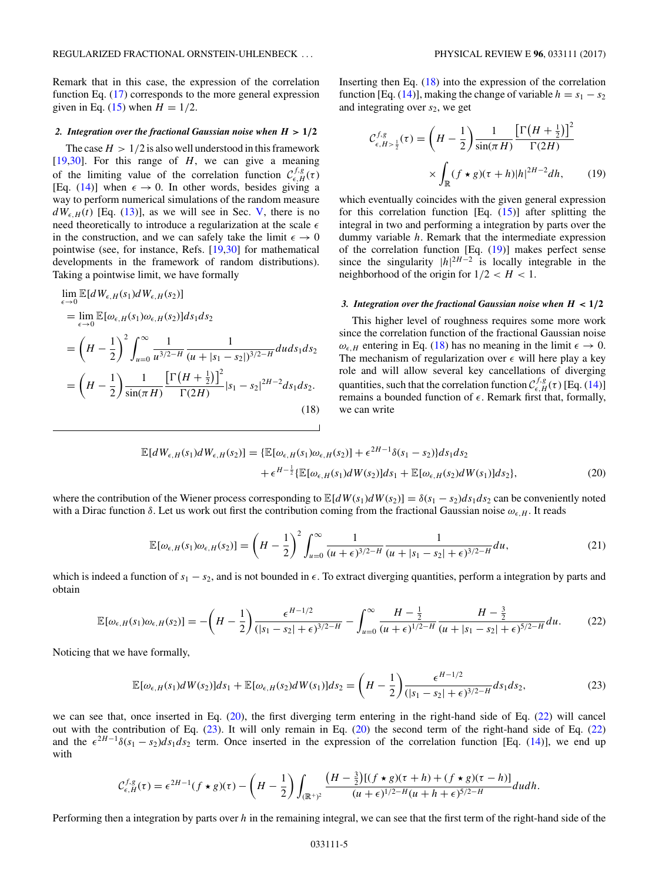<span id="page-4-0"></span>Remark that in this case, the expression of the correlation function Eq. [\(17\)](#page-3-0) corresponds to the more general expression given in Eq. [\(15\)](#page-3-0) when  $H = 1/2$ .

### 2. Integration over the fractional Gaussian noise when  $H > 1/2$

The case  $H > 1/2$  is also well understood in this framework [\[19,30\]](#page-8-0). For this range of *H*, we can give a meaning of the limiting value of the correlation function  $C_{\epsilon,H}^{f,g}(\tau)$ [Eq. [\(14\)](#page-3-0)] when  $\epsilon \to 0$ . In other words, besides giving a way to perform numerical simulations of the random measure  $dW_{\epsilon,H}(t)$  [Eq. [\(13\)](#page-3-0)], as we will see in Sec. [V,](#page-5-0) there is no need theoretically to introduce a regularization at the scale  in the construction, and we can safely take the limit  $\epsilon \to 0$ pointwise (see, for instance, Refs. [\[19,30\]](#page-8-0) for mathematical developments in the framework of random distributions). Taking a pointwise limit, we have formally

$$
\lim_{\epsilon \to 0} \mathbb{E}[dW_{\epsilon,H}(s_1)dW_{\epsilon,H}(s_2)]
$$
\n
$$
= \lim_{\epsilon \to 0} \mathbb{E}[\omega_{\epsilon,H}(s_1)\omega_{\epsilon,H}(s_2)]ds_1ds_2
$$
\n
$$
= \left(H - \frac{1}{2}\right)^2 \int_{u=0}^{\infty} \frac{1}{u^{3/2-H}} \frac{1}{(u+|s_1 - s_2|)^{3/2-H}} du ds_1ds_2
$$
\n
$$
= \left(H - \frac{1}{2}\right) \frac{1}{\sin(\pi H)} \frac{\left[\Gamma\left(H + \frac{1}{2}\right)\right]^2}{\Gamma(2H)} |s_1 - s_2|^{2H-2} ds_1ds_2.
$$
\n(18)

Inserting then Eq.  $(18)$  into the expression of the correlation function [Eq. [\(14\)](#page-3-0)], making the change of variable  $h = s_1 - s_2$ and integrating over  $s_2$ , we get

$$
\mathcal{C}_{\epsilon,H>\frac{1}{2}}^{f,g}(\tau) = \left(H - \frac{1}{2}\right) \frac{1}{\sin(\pi H)} \frac{\left[\Gamma\left(H + \frac{1}{2}\right)\right]^2}{\Gamma(2H)}
$$

$$
\times \int_{\mathbb{R}} (f \star g)(\tau + h)|h|^{2H-2} dh, \qquad (19)
$$

which eventually coincides with the given general expression for this correlation function [Eq.  $(15)$ ] after splitting the integral in two and performing a integration by parts over the dummy variable *h*. Remark that the intermediate expression of the correlation function [Eq. (19)] makes perfect sense since the singularity  $|h|^{2H-2}$  is locally integrable in the neighborhood of the origin for  $1/2 < H < 1$ .

### *3. Integration over the fractional Gaussian noise when*  $H < 1/2$

This higher level of roughness requires some more work since the correlation function of the fractional Gaussian noise  $\omega_{\epsilon,H}$  entering in Eq. (18) has no meaning in the limit  $\epsilon \to 0$ . The mechanism of regularization over  $\epsilon$  will here play a key role and will allow several key cancellations of diverging quantities, such that the correlation function  $C_{\epsilon,H}^{f,g}(\tau)$  [Eq. [\(14\)](#page-3-0)] remains a bounded function of  $\epsilon$ . Remark first that, formally, we can write

$$
\mathbb{E}[dW_{\epsilon,H}(s_1)dW_{\epsilon,H}(s_2)] = \{ \mathbb{E}[\omega_{\epsilon,H}(s_1)\omega_{\epsilon,H}(s_2)] + \epsilon^{2H-1}\delta(s_1 - s_2) \} ds_1 ds_2 + \epsilon^{H-\frac{1}{2}} \{ \mathbb{E}[\omega_{\epsilon,H}(s_1)dW(s_2)]ds_1 + \mathbb{E}[\omega_{\epsilon,H}(s_2)dW(s_1)]ds_2 \},
$$
\n(20)

where the contribution of the Wiener process corresponding to  $\mathbb{E}[dW(s_1)dW(s_2)] = \delta(s_1 - s_2)d s_1 ds_2$  can be conveniently noted with a Dirac function  $\delta$ . Let us work out first the contribution coming from the fractional Gaussian noise  $\omega_{\epsilon,H}$ . It reads

$$
\mathbb{E}[\omega_{\epsilon,H}(s_1)\omega_{\epsilon,H}(s_2)] = \left(H - \frac{1}{2}\right)^2 \int_{u=0}^{\infty} \frac{1}{(u+\epsilon)^{3/2-H}} \frac{1}{(u+|s_1-s_2|+\epsilon)^{3/2-H}} du,
$$
\n(21)

which is indeed a function of *s*<sup>1</sup> − *s*2, and is not bounded in *-*. To extract diverging quantities, perform a integration by parts and obtain

$$
\mathbb{E}[\omega_{\epsilon,H}(s_1)\omega_{\epsilon,H}(s_2)] = -\left(H - \frac{1}{2}\right) \frac{\epsilon^{H-1/2}}{(|s_1 - s_2| + \epsilon)^{3/2 - H}} - \int_{u=0}^{\infty} \frac{H - \frac{1}{2}}{(u + \epsilon)^{1/2 - H}} \frac{H - \frac{3}{2}}{(u + |s_1 - s_2| + \epsilon)^{5/2 - H}} du. \tag{22}
$$

Noticing that we have formally,

$$
\mathbb{E}[\omega_{\epsilon,H}(s_1)dW(s_2)]ds_1 + \mathbb{E}[\omega_{\epsilon,H}(s_2)dW(s_1)]ds_2 = \left(H - \frac{1}{2}\right)\frac{\epsilon^{H-1/2}}{(|s_1 - s_2| + \epsilon)^{3/2 - H}}ds_1ds_2,
$$
\n(23)

we can see that, once inserted in Eq. (20), the first diverging term entering in the right-hand side of Eq. (22) will cancel out with the contribution of Eq. (23). It will only remain in Eq. (20) the second term of the right-hand side of Eq. (22) and the  $\epsilon^{2H-1}\delta(s_1-s_2)ds_1ds_2$  term. Once inserted in the expression of the correlation function [Eq. [\(14\)](#page-3-0)], we end up with

$$
\mathcal{C}^{f,g}_{\epsilon,H}(\tau) = \epsilon^{2H-1}(f \star g)(\tau) - \left(H - \frac{1}{2}\right) \int_{(\mathbb{R}^+)^2} \frac{\left(H - \frac{3}{2}\right) \left[(f \star g)(\tau + h) + (f \star g)(\tau - h)\right]}{(u + \epsilon)^{1/2 - H}(u + h + \epsilon)^{5/2 - H}} du dh.
$$

Performing then a integration by parts over *h* in the remaining integral, we can see that the first term of the right-hand side of the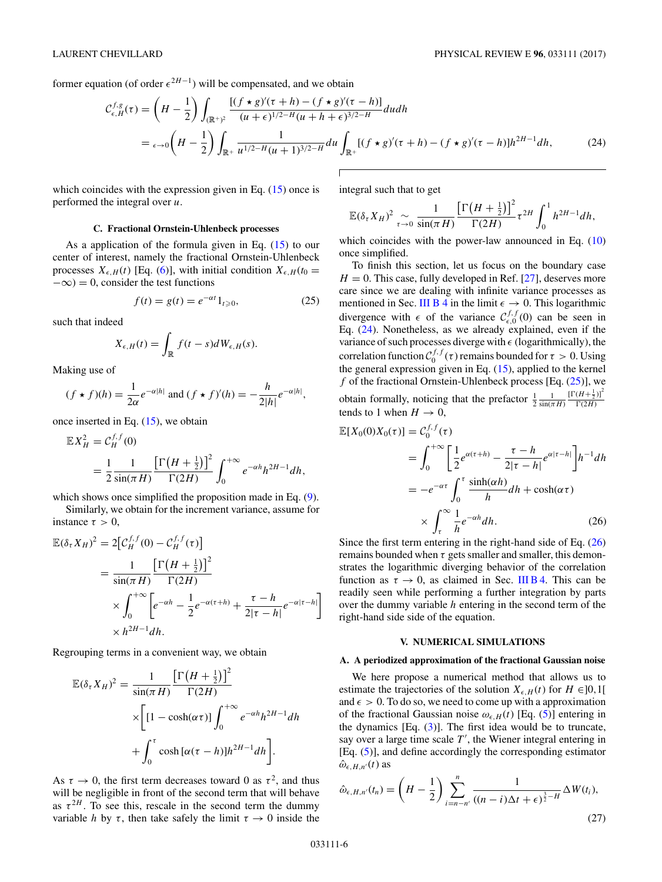<span id="page-5-0"></span>

former equation (of order  $\epsilon^{2H-1}$ ) will be compensated, and we obtain

$$
\mathcal{C}_{\epsilon,H}^{f,g}(\tau) = \left(H - \frac{1}{2}\right) \int_{(\mathbb{R}^+)^2} \frac{\left[(f \star g)'(\tau + h) - (f \star g)'(\tau - h)\right]}{(u + \epsilon)^{1/2 - H}(u + h + \epsilon)^{3/2 - H}} du dh
$$
  
=  $\epsilon \to 0 \left(H - \frac{1}{2}\right) \int_{\mathbb{R}^+} \frac{1}{u^{1/2 - H}(u + 1)^{3/2 - H}} du \int_{\mathbb{R}^+} \left[(f \star g)'(\tau + h) - (f \star g)'(\tau - h)\right] h^{2H - 1} dh,$  (24)

which coincides with the expression given in Eq.  $(15)$  once is performed the integral over *u*.

### **C. Fractional Ornstein-Uhlenbeck processes**

As a application of the formula given in Eq. [\(15\)](#page-3-0) to our center of interest, namely the fractional Ornstein-Uhlenbeck processes  $X_{\epsilon,H}(t)$  [Eq. [\(6\)](#page-1-0)], with initial condition  $X_{\epsilon,H}(t_0 =$  $-\infty$ ) = 0, consider the test functions

$$
f(t) = g(t) = e^{-\alpha t} 1_{t \ge 0},
$$
 (25)

such that indeed

$$
X_{\epsilon,H}(t) = \int_{\mathbb{R}} f(t-s)dW_{\epsilon,H}(s).
$$

Making use of

$$
(f \star f)(h) = \frac{1}{2\alpha} e^{-\alpha|h|} \text{ and } (f \star f)'(h) = -\frac{h}{2|h|} e^{-\alpha|h|},
$$

once inserted in Eq.  $(15)$ , we obtain

$$
\mathbb{E}X_H^2 = C_H^{f,f}(0)
$$
  
= 
$$
\frac{1}{2} \frac{1}{\sin(\pi H)} \frac{\left[\Gamma\left(H + \frac{1}{2}\right)\right]^2}{\Gamma(2H)} \int_0^{+\infty} e^{-\alpha h} h^{2H-1} dh,
$$

which shows once simplified the proposition made in Eq. [\(9\)](#page-2-0).

Similarly, we obtain for the increment variance, assume for instance  $\tau > 0$ ,

$$
\mathbb{E}(\delta_{\tau}X_H)^2 = 2\Big[\mathcal{C}_H^{f,f}(0) - \mathcal{C}_H^{f,f}(\tau)\Big]
$$
  
= 
$$
\frac{1}{\sin(\pi H)} \frac{\Big[\Gamma\big(H + \frac{1}{2}\big)\Big]^2}{\Gamma(2H)}
$$
  

$$
\times \int_0^{+\infty} \Big[e^{-\alpha h} - \frac{1}{2}e^{-\alpha(\tau+h)} + \frac{\tau - h}{2|\tau - h|}e^{-\alpha|\tau - h|}\Big]
$$
  

$$
\times h^{2H-1}dh.
$$

Regrouping terms in a convenient way, we obtain

$$
\mathbb{E}(\delta_{\tau}X_H)^2 = \frac{1}{\sin(\pi H)} \frac{\left[\Gamma\left(H + \frac{1}{2}\right)\right]^2}{\Gamma(2H)} \times \left[\left[1 - \cosh(\alpha \tau)\right] \int_0^{+\infty} e^{-\alpha h} h^{2H-1} dh \n+ \int_0^{\tau} \cosh\left[\alpha(\tau - h)\right] h^{2H-1} dh \right].
$$

As  $\tau \to 0$ , the first term decreases toward 0 as  $\tau^2$ , and thus will be negligible in front of the second term that will behave as  $\tau^{2H}$ . To see this, rescale in the second term the dummy variable *h* by  $\tau$ , then take safely the limit  $\tau \rightarrow 0$  inside the integral such that to get

$$
\mathbb{E}(\delta_{\tau}X_H)^2 \underset{\tau \to 0}{\sim} \frac{1}{\sin(\pi H)} \frac{\left[\Gamma\left(H + \frac{1}{2}\right)\right]^2}{\Gamma(2H)} \tau^{2H} \int_0^1 h^{2H-1} dh,
$$

which coincides with the power-law announced in Eq. [\(10\)](#page-2-0) once simplified.

To finish this section, let us focus on the boundary case  $H = 0$ . This case, fully developed in Ref. [\[27\]](#page-8-0), deserves more care since we are dealing with infinite variance processes as mentioned in Sec. [III B 4](#page-3-0) in the limit  $\epsilon \to 0$ . This logarithmic divergence with  $\epsilon$  of the variance  $C_{\epsilon,0}^{f,f}(0)$  can be seen in Eq. (24). Nonetheless, as we already explained, even if the variance of such processes diverge with  $\epsilon$  (logarithmically), the correlation function  $C_0^{f,f}(\tau)$  remains bounded for  $\tau > 0$ . Using the general expression given in Eq. [\(15\)](#page-3-0), applied to the kernel  $f$  of the fractional Ornstein-Uhlenbeck process [Eq.  $(25)$ ], we obtain formally, noticing that the prefactor  $\frac{1}{2} \frac{1}{\sin(\pi H)}$  $\frac{\left[\Gamma(H+\frac{1}{2})\right]^2}{\Gamma(2H)}$ tends to 1 when  $H \rightarrow 0$ ,

$$
\mathbb{E}[X_0(0)X_0(\tau)] = C_0^{f,f}(\tau)
$$
  
= 
$$
\int_0^{+\infty} \left[ \frac{1}{2} e^{\alpha(\tau+h)} - \frac{\tau-h}{2|\tau-h|} e^{\alpha|\tau-h|} \right] h^{-1} dh
$$
  
= 
$$
-e^{-\alpha\tau} \int_0^{\tau} \frac{\sinh(\alpha h)}{h} dh + \cosh(\alpha \tau)
$$
  

$$
\times \int_{\tau}^{\infty} \frac{1}{h} e^{-\alpha h} dh. \qquad (26)
$$

Since the first term entering in the right-hand side of Eq. (26) remains bounded when  $\tau$  gets smaller and smaller, this demonstrates the logarithmic diverging behavior of the correlation function as  $\tau \to 0$ , as claimed in Sec. [III B 4.](#page-3-0) This can be readily seen while performing a further integration by parts over the dummy variable *h* entering in the second term of the right-hand side side of the equation.

### **V. NUMERICAL SIMULATIONS**

### **A. A periodized approximation of the fractional Gaussian noise**

We here propose a numerical method that allows us to estimate the trajectories of the solution  $X_{\epsilon,H}(t)$  for  $H \in ]0,1[$ and  $\epsilon > 0$ . To do so, we need to come up with a approximation of the fractional Gaussian noise  $\omega_{\epsilon,H}(t)$  [Eq. [\(5\)](#page-1-0)] entering in the dynamics  $[Eq. (3)]$  $[Eq. (3)]$  $[Eq. (3)]$ . The first idea would be to truncate, say over a large time scale  $T'$ , the Wiener integral entering in [Eq. [\(5\)](#page-1-0)], and define accordingly the corresponding estimator  $\hat{\omega}_{\epsilon, H, n'}(t)$  as

$$
\hat{\omega}_{\epsilon,H,n'}(t_n) = \left(H - \frac{1}{2}\right) \sum_{i=n-n'}^{n} \frac{1}{((n-i)\Delta t + \epsilon)^{\frac{3}{2}-H}} \Delta W(t_i),\tag{27}
$$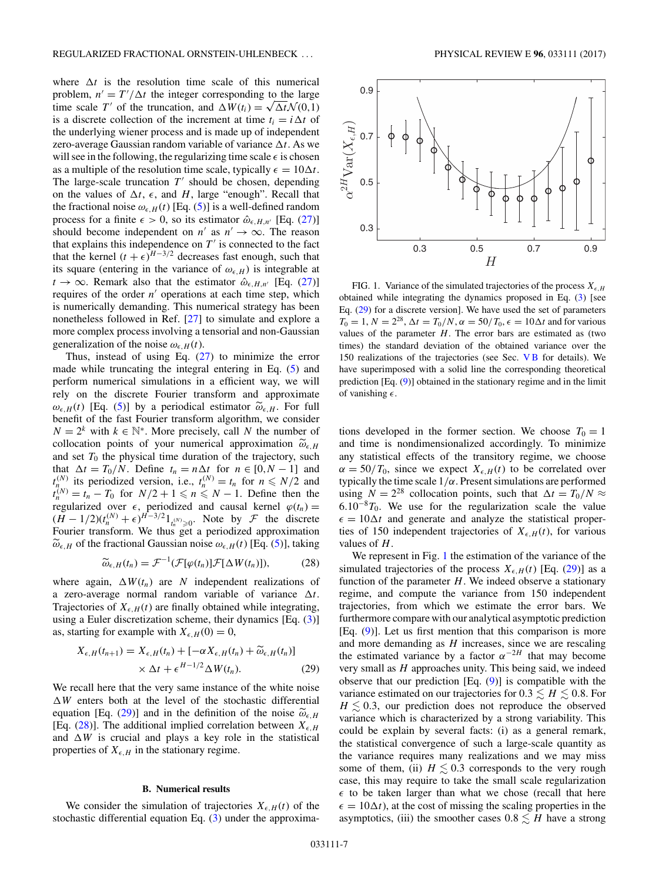<span id="page-6-0"></span>where  $\Delta t$  is the resolution time scale of this numerical problem,  $n' = T'/\Delta t$  the integer corresponding to the large problem,  $n' = I'/\Delta t$  the integer corresponding to the large<br>time scale *T'* of the truncation, and  $\Delta W(t_i) = \sqrt{\Delta t} N(0, 1)$ is a discrete collection of the increment at time  $t_i = i \Delta t$  of the underlying wiener process and is made up of independent zero-average Gaussian random variable of variance  $\Delta t$ . As we will see in the following, the regularizing time scale  $\epsilon$  is chosen as a multiple of the resolution time scale, typically  $\epsilon = 10\Delta t$ . The large-scale truncation  $T'$  should be chosen, depending on the values of  $\Delta t$ ,  $\epsilon$ , and *H*, large "enough". Recall that the fractional noise  $\omega_{\epsilon,H}(t)$  [Eq. [\(5\)](#page-1-0)] is a well-defined random process for a finite  $\epsilon > 0$ , so its estimator  $\hat{\omega}_{\epsilon, H, n'}$  [Eq. [\(27\)](#page-5-0)] should become independent on *n'* as  $n' \rightarrow \infty$ . The reason that explains this independence on  $T'$  is connected to the fact that the kernel  $(t + \epsilon)^{H-3/2}$  decreases fast enough, such that its square (entering in the variance of  $\omega_{\epsilon,H}$ ) is integrable at  $t \to \infty$ . Remark also that the estimator  $\hat{\omega}_{\epsilon, H, n'}$  [Eq. [\(27\)](#page-5-0)] requires of the order  $n'$  operations at each time step, which is numerically demanding. This numerical strategy has been nonetheless followed in Ref. [\[27\]](#page-8-0) to simulate and explore a more complex process involving a tensorial and non-Gaussian generalization of the noise  $\omega_{\epsilon,H}(t)$ .

Thus, instead of using Eq.  $(27)$  to minimize the error made while truncating the integral entering in Eq. [\(5\)](#page-1-0) and perform numerical simulations in a efficient way, we will rely on the discrete Fourier transform and approximate  $\omega_{\epsilon,H}(t)$  [Eq. [\(5\)](#page-1-0)] by a periodical estimator  $\tilde{\omega}_{\epsilon,H}$ . For full benefit of the fast Fourier transform algorithm, we consider  $N = 2<sup>k</sup>$  with  $k \in \mathbb{N}^*$ . More precisely, call *N* the number of collocation points of your numerical approximation  $\widetilde{\omega}_{\epsilon,H}$ and set  $T_0$  the physical time duration of the trajectory, such that  $\Delta t = T_0/N$ . Define  $t_n = n\Delta t$  for  $n \in [0, N - 1]$  and  $t_{n}^{(N)}$  its periodized version, i.e.,  $t_n^{(N)} = t_n$  for  $n \le N/2$  and  $t_n^{(N)} = t_n - T_0$  for  $N/2 + 1 \leq n \leq N - 1$ . Define then the regularized over  $\epsilon$ , periodized and causal kernel  $\varphi(t_n)$  =  $(H - 1/2)(t_n^{(N)} + \epsilon)^{H-3/2}1_{t_n^{(N)} \ge 0}$ . Note by *F* the discrete Fourier transform. We thus get a periodized approximation  $\widetilde{\omega}_{\epsilon,H}$  of the fractional Gaussian noise  $\omega_{\epsilon,H}(t)$  [Eq. [\(5\)](#page-1-0)], taking

$$
\widetilde{\omega}_{\epsilon,H}(t_n) = \mathcal{F}^{-1}(\mathcal{F}[\varphi(t_n)]\mathcal{F}[\Delta W(t_n)]), \tag{28}
$$

where again,  $\Delta W(t_n)$  are *N* independent realizations of a zero-average normal random variable of variance  $\Delta t$ . Trajectories of  $X_{\epsilon,H}(t)$  are finally obtained while integrating, using a Euler discretization scheme, their dynamics [Eq. [\(3\)](#page-1-0)] as, starting for example with  $X_{\epsilon,H}(0) = 0$ ,

$$
X_{\epsilon,H}(t_{n+1}) = X_{\epsilon,H}(t_n) + [-\alpha X_{\epsilon,H}(t_n) + \widetilde{\omega}_{\epsilon,H}(t_n)]
$$
  
 
$$
\times \Delta t + \epsilon^{H-1/2} \Delta W(t_n).
$$
 (29)

We recall here that the very same instance of the white noise  $\Delta W$  enters both at the level of the stochastic differential equation [Eq. (29)] and in the definition of the noise  $\widetilde{\omega}_{\epsilon,H}$ [Eq. (28)]. The additional implied correlation between  $X_{\epsilon,H}$ and  $\Delta W$  is crucial and plays a key role in the statistical properties of  $X_{\epsilon,H}$  in the stationary regime.

#### **B. Numerical results**

We consider the simulation of trajectories  $X_{\epsilon,H}(t)$  of the stochastic differential equation Eq.  $(3)$  under the approxima-



FIG. 1. Variance of the simulated trajectories of the process  $X_{\epsilon,H}$ obtained while integrating the dynamics proposed in Eq. [\(3\)](#page-1-0) [see Eq. (29) for a discrete version]. We have used the set of parameters  $T_0 = 1, N = 2^{28}, \Delta t = T_0/N, \alpha = 50/T_0, \epsilon = 10\Delta t$  and for various values of the parameter  $H$ . The error bars are estimated as (two times) the standard deviation of the obtained variance over the 150 realizations of the trajectories (see Sec. V B for details). We have superimposed with a solid line the corresponding theoretical prediction [Eq. [\(9\)](#page-2-0)] obtained in the stationary regime and in the limit of vanishing  $\epsilon$ .

tions developed in the former section. We choose  $T_0 = 1$ and time is nondimensionalized accordingly. To minimize any statistical effects of the transitory regime, we choose  $\alpha = 50/T_0$ , since we expect  $X_{\epsilon,H}(t)$  to be correlated over typically the time scale 1*/α*. Present simulations are performed using  $N = 2^{28}$  collocation points, such that  $\Delta t = T_0/N \approx$ 6*.*10<sup>−</sup>8*T*0. We use for the regularization scale the value  $\epsilon = 10\Delta t$  and generate and analyze the statistical properties of 150 independent trajectories of  $X_{\epsilon,H}(t)$ , for various values of *H*.

We represent in Fig. 1 the estimation of the variance of the simulated trajectories of the process  $X_{\epsilon,H}(t)$  [Eq. (29)] as a function of the parameter *H*. We indeed observe a stationary regime, and compute the variance from 150 independent trajectories, from which we estimate the error bars. We furthermore compare with our analytical asymptotic prediction [Eq. [\(9\)](#page-2-0)]. Let us first mention that this comparison is more and more demanding as *H* increases, since we are rescaling the estimated variance by a factor  $\alpha^{-2H}$  that may become very small as *H* approaches unity. This being said, we indeed observe that our prediction [Eq. [\(9\)](#page-2-0)] is compatible with the variance estimated on our trajectories for  $0.3 \leq H \leq 0.8$ . For  $H \lesssim 0.3$ , our prediction does not reproduce the observed variance which is characterized by a strong variability. This could be explain by several facts: (i) as a general remark, the statistical convergence of such a large-scale quantity as the variance requires many realizations and we may miss some of them, (ii)  $H \lesssim 0.3$  corresponds to the very rough case, this may require to take the small scale regularization  $\epsilon$  to be taken larger than what we chose (recall that here  $\epsilon = 10\Delta t$ , at the cost of missing the scaling properties in the asymptotics, (iii) the smoother cases  $0.8 \lesssim H$  have a strong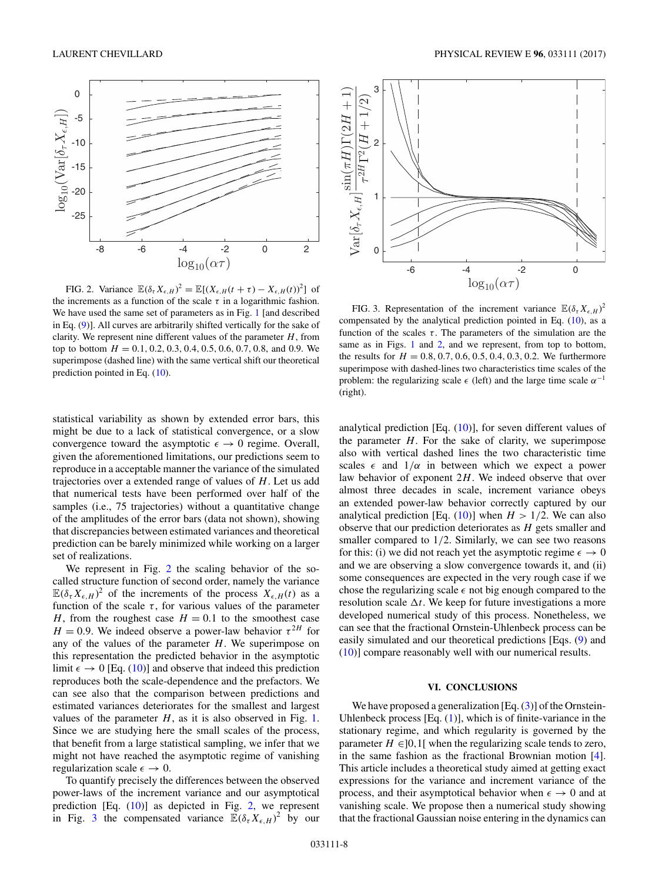<span id="page-7-0"></span>

FIG. 2. Variance  $\mathbb{E}(\delta_{\tau} X_{\epsilon,H})^2 = \mathbb{E}[(X_{\epsilon,H}(t+\tau) - X_{\epsilon,H}(t))^2]$  of the increments as a function of the scale  $\tau$  in a logarithmic fashion. We have used the same set of parameters as in Fig. [1](#page-6-0) [and described in Eq. [\(9\)](#page-2-0)]. All curves are arbitrarily shifted vertically for the sake of clarity. We represent nine different values of the parameter *H*, from  $H = 0.1, 0.2, 0.3, 0.4, 0.5, 0.6, 0.7, 0.8,$  and 0.9. We superimpose (dashed line) with the same vertical shift our theoretical prediction pointed in Eq. [\(10\)](#page-2-0).

statistical variability as shown by extended error bars, this might be due to a lack of statistical convergence, or a slow convergence toward the asymptotic  $\epsilon \to 0$  regime. Overall, given the aforementioned limitations, our predictions seem to reproduce in a acceptable manner the variance of the simulated trajectories over a extended range of values of *H*. Let us add that numerical tests have been performed over half of the samples (i.e., 75 trajectories) without a quantitative change of the amplitudes of the error bars (data not shown), showing that discrepancies between estimated variances and theoretical prediction can be barely minimized while working on a larger set of realizations.

We represent in Fig. 2 the scaling behavior of the socalled structure function of second order, namely the variance  $\mathbb{E}(\delta_{\tau} X_{\epsilon,H})^2$  of the increments of the process  $X_{\epsilon,H}(t)$  as a function of the scale  $\tau$ , for various values of the parameter *H*, from the roughest case  $H = 0.1$  to the smoothest case  $H = 0.9$ . We indeed observe a power-law behavior  $\tau^{2H}$  for any of the values of the parameter *H*. We superimpose on this representation the predicted behavior in the asymptotic limit  $\epsilon \to 0$  [Eq. [\(10\)](#page-2-0)] and observe that indeed this prediction reproduces both the scale-dependence and the prefactors. We can see also that the comparison between predictions and estimated variances deteriorates for the smallest and largest values of the parameter  $H$ , as it is also observed in Fig. [1.](#page-6-0) Since we are studying here the small scales of the process, that benefit from a large statistical sampling, we infer that we might not have reached the asymptotic regime of vanishing regularization scale  $\epsilon \to 0$ .

To quantify precisely the differences between the observed power-laws of the increment variance and our asymptotical prediction [Eq. [\(10\)](#page-2-0)] as depicted in Fig. 2, we represent in Fig. 3 the compensated variance  $\mathbb{E}(\delta_{\tau}X_{\epsilon,H})^2$  by our



FIG. 3. Representation of the increment variance  $\mathbb{E}(\delta_\tau X_{\epsilon,H})^2$ compensated by the analytical prediction pointed in Eq. [\(10\)](#page-2-0), as a function of the scales  $\tau$ . The parameters of the simulation are the same as in Figs. [1](#page-6-0) and 2, and we represent, from top to bottom, the results for  $H = 0.8, 0.7, 0.6, 0.5, 0.4, 0.3, 0.2$ . We furthermore superimpose with dashed-lines two characteristics time scales of the problem: the regularizing scale  $\epsilon$  (left) and the large time scale  $\alpha^{-1}$ (right).

analytical prediction [Eq.  $(10)$ ], for seven different values of the parameter *H*. For the sake of clarity, we superimpose also with vertical dashed lines the two characteristic time scales  $\epsilon$  and  $1/\alpha$  in between which we expect a power law behavior of exponent 2*H*. We indeed observe that over almost three decades in scale, increment variance obeys an extended power-law behavior correctly captured by our analytical prediction [Eq.  $(10)$ ] when  $H > 1/2$ . We can also observe that our prediction deteriorates as *H* gets smaller and smaller compared to 1*/*2. Similarly, we can see two reasons for this: (i) we did not reach yet the asymptotic regime  $\epsilon \to 0$ and we are observing a slow convergence towards it, and (ii) some consequences are expected in the very rough case if we chose the regularizing scale  $\epsilon$  not big enough compared to the resolution scale  $\Delta t$ . We keep for future investigations a more developed numerical study of this process. Nonetheless, we can see that the fractional Ornstein-Uhlenbeck process can be easily simulated and our theoretical predictions [Eqs. [\(9\)](#page-2-0) and [\(10\)](#page-2-0)] compare reasonably well with our numerical results.

### **VI. CONCLUSIONS**

We have proposed a generalization [Eq.  $(3)$ ] of the Ornstein-Uhlenbeck process  $[Eq. (1)]$  $[Eq. (1)]$  $[Eq. (1)]$ , which is of finite-variance in the stationary regime, and which regularity is governed by the parameter  $H \in ]0,1[$  when the regularizing scale tends to zero, in the same fashion as the fractional Brownian motion [\[4\]](#page-8-0). This article includes a theoretical study aimed at getting exact expressions for the variance and increment variance of the process, and their asymptotical behavior when  $\epsilon \to 0$  and at vanishing scale. We propose then a numerical study showing that the fractional Gaussian noise entering in the dynamics can